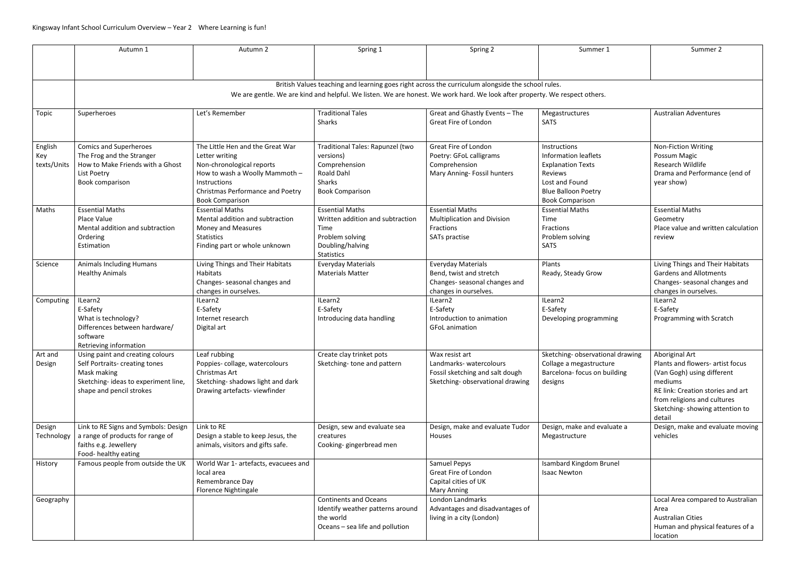|                                                                                                                            | Autumn 1                                                                                                                                             | Autumn 2                                                                                                                                                                                               | Spring 1                                                                                                                       | Spring 2                                                                                                        | Summer 1                                                                                                                                              | Summer 2                                                                                                                                                                                                    |  |  |  |  |
|----------------------------------------------------------------------------------------------------------------------------|------------------------------------------------------------------------------------------------------------------------------------------------------|--------------------------------------------------------------------------------------------------------------------------------------------------------------------------------------------------------|--------------------------------------------------------------------------------------------------------------------------------|-----------------------------------------------------------------------------------------------------------------|-------------------------------------------------------------------------------------------------------------------------------------------------------|-------------------------------------------------------------------------------------------------------------------------------------------------------------------------------------------------------------|--|--|--|--|
|                                                                                                                            |                                                                                                                                                      |                                                                                                                                                                                                        |                                                                                                                                |                                                                                                                 |                                                                                                                                                       |                                                                                                                                                                                                             |  |  |  |  |
|                                                                                                                            |                                                                                                                                                      |                                                                                                                                                                                                        |                                                                                                                                |                                                                                                                 |                                                                                                                                                       |                                                                                                                                                                                                             |  |  |  |  |
|                                                                                                                            |                                                                                                                                                      |                                                                                                                                                                                                        |                                                                                                                                | British Values teaching and learning goes right across the curriculum alongside the school rules.               |                                                                                                                                                       |                                                                                                                                                                                                             |  |  |  |  |
| We are gentle. We are kind and helpful. We listen. We are honest. We work hard. We look after property. We respect others. |                                                                                                                                                      |                                                                                                                                                                                                        |                                                                                                                                |                                                                                                                 |                                                                                                                                                       |                                                                                                                                                                                                             |  |  |  |  |
|                                                                                                                            |                                                                                                                                                      |                                                                                                                                                                                                        |                                                                                                                                |                                                                                                                 |                                                                                                                                                       |                                                                                                                                                                                                             |  |  |  |  |
| Topic                                                                                                                      | Superheroes                                                                                                                                          | Let's Remember                                                                                                                                                                                         | <b>Traditional Tales</b><br><b>Sharks</b>                                                                                      | Great and Ghastly Events - The<br>Great Fire of London                                                          | Megastructures<br><b>SATS</b>                                                                                                                         | <b>Australian Adventures</b>                                                                                                                                                                                |  |  |  |  |
| English<br>Key<br>texts/Units                                                                                              | <b>Comics and Superheroes</b><br>The Frog and the Stranger<br>How to Make Friends with a Ghost<br>List Poetry<br>Book comparison                     | The Little Hen and the Great War<br>Letter writing<br>Non-chronological reports<br>How to wash a Woolly Mammoth -<br>Instructions<br><b>Christmas Performance and Poetry</b><br><b>Book Comparison</b> | Traditional Tales: Rapunzel (two<br>versions)<br>Comprehension<br><b>Roald Dahl</b><br>Sharks<br><b>Book Comparison</b>        | Great Fire of London<br>Poetry: GFoL calligrams<br>Comprehension<br>Mary Anning- Fossil hunters                 | Instructions<br>Information leaflets<br><b>Explanation Texts</b><br>Reviews<br>Lost and Found<br><b>Blue Balloon Poetry</b><br><b>Book Comparison</b> | <b>Non-Fiction Writing</b><br>Possum Magic<br>Research Wildlife<br>Drama and Performance (end of<br>year show)                                                                                              |  |  |  |  |
| Maths                                                                                                                      | <b>Essential Maths</b><br>Place Value<br>Mental addition and subtraction<br>Ordering<br>Estimation                                                   | <b>Essential Maths</b><br>Mental addition and subtraction<br>Money and Measures<br><b>Statistics</b><br>Finding part or whole unknown                                                                  | <b>Essential Maths</b><br>Written addition and subtraction<br>Time<br>Problem solving<br>Doubling/halving<br><b>Statistics</b> | <b>Essential Maths</b><br><b>Multiplication and Division</b><br>Fractions<br>SATs practise                      | <b>Essential Maths</b><br>Time<br>Fractions<br>Problem solving<br><b>SATS</b>                                                                         | <b>Essential Maths</b><br>Geometry<br>Place value and written calculation<br>review                                                                                                                         |  |  |  |  |
| Science                                                                                                                    | <b>Animals Including Humans</b><br><b>Healthy Animals</b>                                                                                            | Living Things and Their Habitats<br><b>Habitats</b><br>Changes- seasonal changes and<br>changes in ourselves.                                                                                          | <b>Everyday Materials</b><br><b>Materials Matter</b>                                                                           | <b>Everyday Materials</b><br>Bend, twist and stretch<br>Changes- seasonal changes and<br>changes in ourselves.  | Plants<br>Ready, Steady Grow                                                                                                                          | Living Things and Their Habitats<br><b>Gardens and Allotments</b><br>Changes- seasonal changes and<br>changes in ourselves.                                                                                 |  |  |  |  |
| Computing                                                                                                                  | ILearn2<br>E-Safety<br>What is technology?<br>Differences between hardware/<br>software<br>Retrieving information                                    | ILearn2<br>E-Safety<br>Internet research<br>Digital art                                                                                                                                                | ILearn2<br>E-Safety<br>Introducing data handling                                                                               | ILearn2<br>E-Safety<br>Introduction to animation<br><b>GFoL</b> animation                                       | ILearn2<br>E-Safety<br>Developing programming                                                                                                         | ILearn2<br>E-Safety<br>Programming with Scratch                                                                                                                                                             |  |  |  |  |
| Art and<br>Design                                                                                                          | Using paint and creating colours<br>Self Portraits- creating tones<br>Mask making<br>Sketching-ideas to experiment line,<br>shape and pencil strokes | Leaf rubbing<br>Poppies-collage, watercolours<br>Christmas Art<br>Sketching-shadows light and dark<br>Drawing artefacts-viewfinder                                                                     | Create clay trinket pots<br>Sketching-tone and pattern                                                                         | Wax resist art<br>Landmarks-watercolours<br>Fossil sketching and salt dough<br>Sketching- observational drawing | Sketching- observational drawing<br>Collage a megastructure<br>Barcelona- focus on building<br>designs                                                | Aboriginal Art<br>Plants and flowers- artist focus<br>(Van Gogh) using different<br>mediums<br>RE link: Creation stories and art<br>from religions and cultures<br>Sketching-showing attention to<br>detail |  |  |  |  |
| Design<br>Technology                                                                                                       | Link to RE Signs and Symbols: Design<br>a range of products for range of<br>faiths e.g. Jewellery<br>Food- healthy eating                            | Link to RE<br>Design a stable to keep Jesus, the<br>animals, visitors and gifts safe.                                                                                                                  | Design, sew and evaluate sea<br>creatures<br>Cooking-gingerbread men                                                           | Design, make and evaluate Tudor<br>Houses                                                                       | Design, make and evaluate a<br>Megastructure                                                                                                          | Design, make and evaluate moving<br>vehicles                                                                                                                                                                |  |  |  |  |
| History                                                                                                                    | Famous people from outside the UK                                                                                                                    | World War 1- artefacts, evacuees and<br>local area<br>Remembrance Day<br><b>Florence Nightingale</b>                                                                                                   |                                                                                                                                | Samuel Pepys<br>Great Fire of London<br>Capital cities of UK<br><b>Mary Anning</b>                              | <b>Isambard Kingdom Brunel</b><br><b>Isaac Newton</b>                                                                                                 |                                                                                                                                                                                                             |  |  |  |  |
| Geography                                                                                                                  |                                                                                                                                                      |                                                                                                                                                                                                        | <b>Continents and Oceans</b><br>Identify weather patterns around<br>the world<br>Oceans - sea life and pollution               | London Landmarks<br>Advantages and disadvantages of<br>living in a city (London)                                |                                                                                                                                                       | Local Area compared to Australian<br>Area<br><b>Australian Cities</b><br>Human and physical features of a<br>location                                                                                       |  |  |  |  |